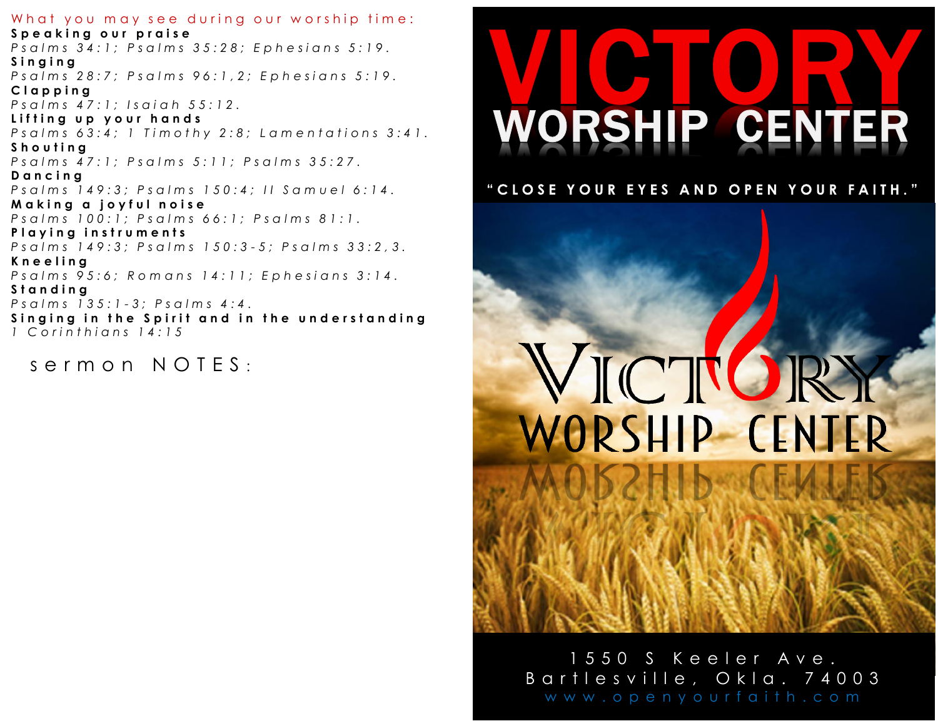What you may see during our worship time: Speaking our praise Psalms 34:1; Psalms 35:28; Ephesians 5:19. Singing Psalms 28:7; Psalms 96:1,2; Ephesians 5:19. Clapping Psalms 47:1; Isaiah 55:12. Lifting up your hands Psalms 63:4; 1 Timothy 2:8; Lamentations 3:41. Shouting Psalms 47:1; Psalms 5:11; Psalms 35:27. Dancing Psalms 149:3; Psalms 150:4; Il Samuel 6:14. Making a joyful noise Psalms 100:1; Psalms 66:1; Psalms 81:1. Playing instruments Psalms 149:3; Psalms 150:3-5; Psalms 33:2,3. Kneeling Psalms 95:6; Romans 14:11; Ephesians 3:14. Standing Psalms 135:1-3; Psalms 4:4. Singing in the Spirit and in the understanding 1 Corinthians 14:15

 $s$ ermon NOTES:

# **WORSHIP CENTER**

"CLOSE YOUR EYES AND OPEN YOUR FAITH."

# VICTUR WORSHIP CENTER

1550 S Keeler Ave. Bartlesville, Okla. 74003